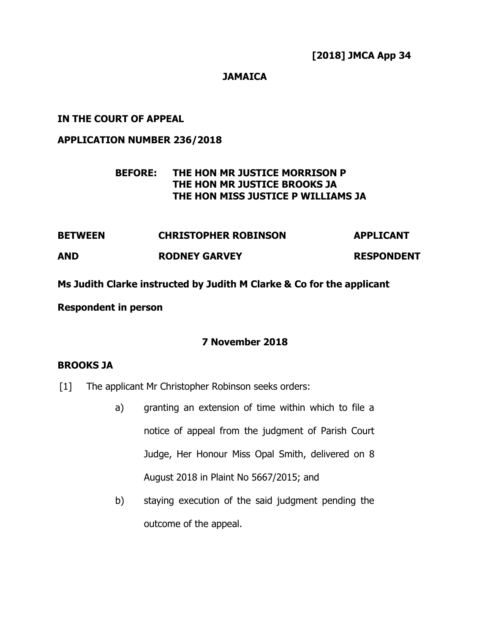**[2018] JMCA App 34**

## **JAMAICA**

## **IN THE COURT OF APPEAL**

### **APPLICATION NUMBER 236/2018**

# **BEFORE: THE HON MR JUSTICE MORRISON P THE HON MR JUSTICE BROOKS JA THE HON MISS JUSTICE P WILLIAMS JA**

| <b>BETWEEN</b> | <b>CHRISTOPHER ROBINSON</b> | <b>APPLICANT</b>  |
|----------------|-----------------------------|-------------------|
| AND            | <b>RODNEY GARVEY</b>        | <b>RESPONDENT</b> |

**Ms Judith Clarke instructed by Judith M Clarke & Co for the applicant**

### **Respondent in person**

## **7 November 2018**

### **BROOKS JA**

- [1] The applicant Mr Christopher Robinson seeks orders:
	- a) granting an extension of time within which to file a notice of appeal from the judgment of Parish Court Judge, Her Honour Miss Opal Smith, delivered on 8 August 2018 in Plaint No 5667/2015; and
	- b) staying execution of the said judgment pending the outcome of the appeal.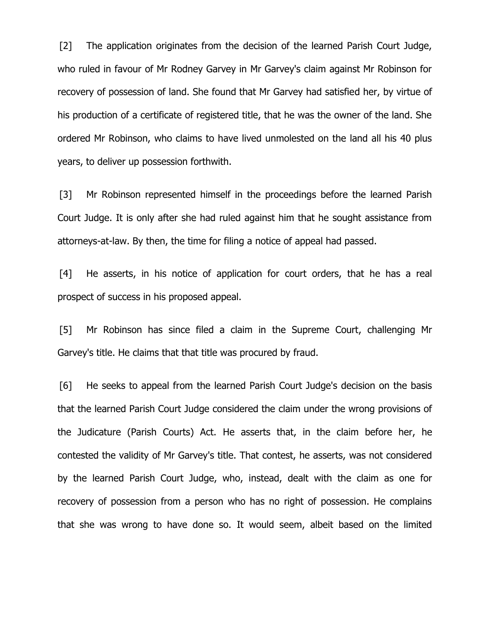[2] The application originates from the decision of the learned Parish Court Judge, who ruled in favour of Mr Rodney Garvey in Mr Garvey's claim against Mr Robinson for recovery of possession of land. She found that Mr Garvey had satisfied her, by virtue of his production of a certificate of registered title, that he was the owner of the land. She ordered Mr Robinson, who claims to have lived unmolested on the land all his 40 plus years, to deliver up possession forthwith.

[3] Mr Robinson represented himself in the proceedings before the learned Parish Court Judge. It is only after she had ruled against him that he sought assistance from attorneys-at-law. By then, the time for filing a notice of appeal had passed.

[4] He asserts, in his notice of application for court orders, that he has a real prospect of success in his proposed appeal.

[5] Mr Robinson has since filed a claim in the Supreme Court, challenging Mr Garvey's title. He claims that that title was procured by fraud.

[6] He seeks to appeal from the learned Parish Court Judge's decision on the basis that the learned Parish Court Judge considered the claim under the wrong provisions of the Judicature (Parish Courts) Act. He asserts that, in the claim before her, he contested the validity of Mr Garvey's title. That contest, he asserts, was not considered by the learned Parish Court Judge, who, instead, dealt with the claim as one for recovery of possession from a person who has no right of possession. He complains that she was wrong to have done so. It would seem, albeit based on the limited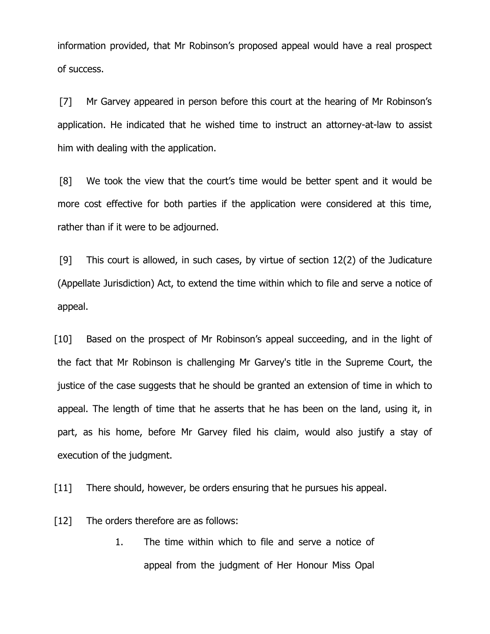information provided, that Mr Robinson's proposed appeal would have a real prospect of success.

[7] Mr Garvey appeared in person before this court at the hearing of Mr Robinson's application. He indicated that he wished time to instruct an attorney-at-law to assist him with dealing with the application.

[8] We took the view that the court's time would be better spent and it would be more cost effective for both parties if the application were considered at this time, rather than if it were to be adjourned.

[9] This court is allowed, in such cases, by virtue of section 12(2) of the Judicature (Appellate Jurisdiction) Act, to extend the time within which to file and serve a notice of appeal.

[10] Based on the prospect of Mr Robinson's appeal succeeding, and in the light of the fact that Mr Robinson is challenging Mr Garvey's title in the Supreme Court, the justice of the case suggests that he should be granted an extension of time in which to appeal. The length of time that he asserts that he has been on the land, using it, in part, as his home, before Mr Garvey filed his claim, would also justify a stay of execution of the judgment.

[11] There should, however, be orders ensuring that he pursues his appeal.

[12] The orders therefore are as follows:

1. The time within which to file and serve a notice of appeal from the judgment of Her Honour Miss Opal